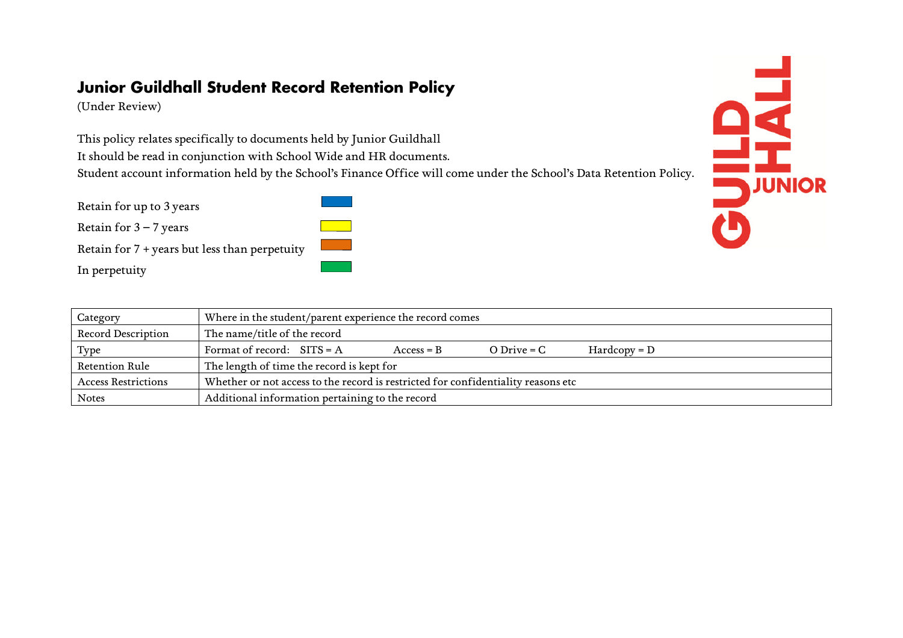## **Junior Guildhall Student Record Retention Policy**

(Under Review)

This policy relates specifically to documents held by Junior Guildhall

It should be read in conjunction with School Wide and HR documents.

Retain for up to 3 years

Retain for  $3 - 7$  years

Retain for 7 + years but less than perpetuity

In perpetuity

| Category                   | Where in the student/parent experience the record comes                            |  |  |  |  |  |
|----------------------------|------------------------------------------------------------------------------------|--|--|--|--|--|
| <b>Record Description</b>  | The name/title of the record                                                       |  |  |  |  |  |
| Type                       | Format of record: $SITS = A$<br>$Access = B$<br>$Hardcopy = D$<br>$O$ Drive = $C$  |  |  |  |  |  |
| Retention Rule             | The length of time the record is kept for                                          |  |  |  |  |  |
| <b>Access Restrictions</b> | Whether or not access to the record is restricted for confidentiality reasons etc. |  |  |  |  |  |
| <b>Notes</b>               | Additional information pertaining to the record                                    |  |  |  |  |  |

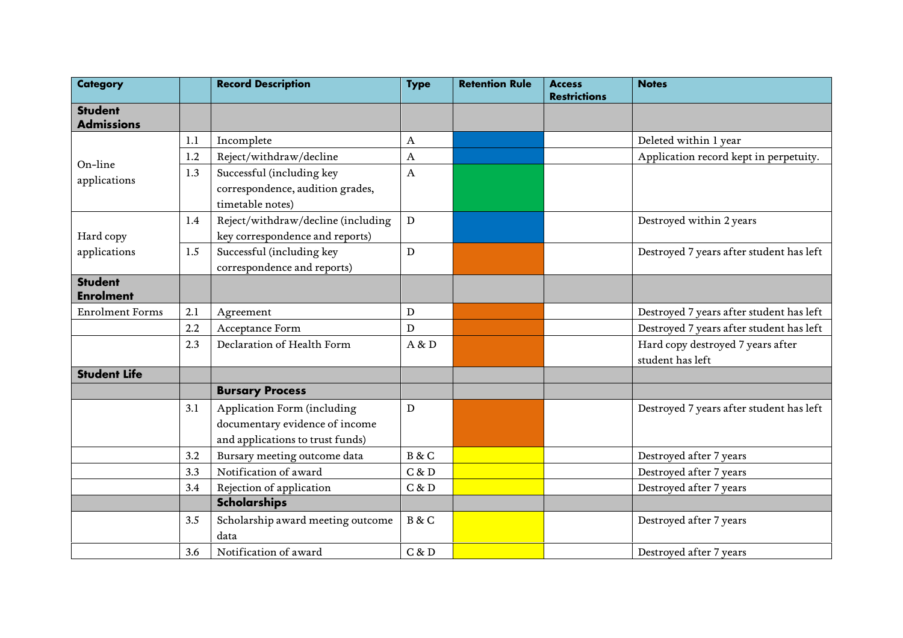| <b>Category</b>                     |     | <b>Record Description</b>                            | <b>Type</b>  | <b>Retention Rule</b> | <b>Access</b><br><b>Restrictions</b> | <b>Notes</b>                                          |
|-------------------------------------|-----|------------------------------------------------------|--------------|-----------------------|--------------------------------------|-------------------------------------------------------|
| <b>Student</b><br><b>Admissions</b> |     |                                                      |              |                       |                                      |                                                       |
|                                     | 1.1 | Incomplete                                           | A            |                       |                                      | Deleted within 1 year                                 |
| On-line                             | 1.2 | Reject/withdraw/decline                              | $\mathbf{A}$ |                       |                                      | Application record kept in perpetuity.                |
|                                     | 1.3 | Successful (including key                            | $\mathbf{A}$ |                       |                                      |                                                       |
| applications                        |     | correspondence, audition grades,<br>timetable notes) |              |                       |                                      |                                                       |
|                                     | 1.4 | Reject/withdraw/decline (including                   | $\mathbf D$  |                       |                                      | Destroyed within 2 years                              |
| Hard copy                           |     | key correspondence and reports)                      |              |                       |                                      |                                                       |
| applications                        | 1.5 | Successful (including key                            | $\mathbf D$  |                       |                                      | Destroyed 7 years after student has left              |
|                                     |     | correspondence and reports)                          |              |                       |                                      |                                                       |
| <b>Student</b><br><b>Enrolment</b>  |     |                                                      |              |                       |                                      |                                                       |
| <b>Enrolment Forms</b>              | 2.1 | Agreement                                            | D            |                       |                                      | Destroyed 7 years after student has left              |
|                                     | 2.2 | Acceptance Form                                      | D            |                       |                                      | Destroyed 7 years after student has left              |
|                                     | 2.3 | Declaration of Health Form                           | A & D        |                       |                                      | Hard copy destroyed 7 years after<br>student has left |
| <b>Student Life</b>                 |     |                                                      |              |                       |                                      |                                                       |
|                                     |     | <b>Bursary Process</b>                               |              |                       |                                      |                                                       |
|                                     | 3.1 | Application Form (including                          | D            |                       |                                      | Destroyed 7 years after student has left              |
|                                     |     | documentary evidence of income                       |              |                       |                                      |                                                       |
|                                     |     | and applications to trust funds)                     |              |                       |                                      |                                                       |
|                                     | 3.2 | Bursary meeting outcome data                         | B & C        |                       |                                      | Destroyed after 7 years                               |
|                                     | 3.3 | Notification of award                                | C & D        |                       |                                      | Destroyed after 7 years                               |
|                                     | 3.4 | Rejection of application                             | C & D        |                       |                                      | Destroyed after 7 years                               |
|                                     |     | <b>Scholarships</b>                                  |              |                       |                                      |                                                       |
|                                     | 3.5 | Scholarship award meeting outcome<br>data            | B & C        |                       |                                      | Destroyed after 7 years                               |
|                                     | 3.6 | Notification of award                                | C & D        |                       |                                      | Destroyed after 7 years                               |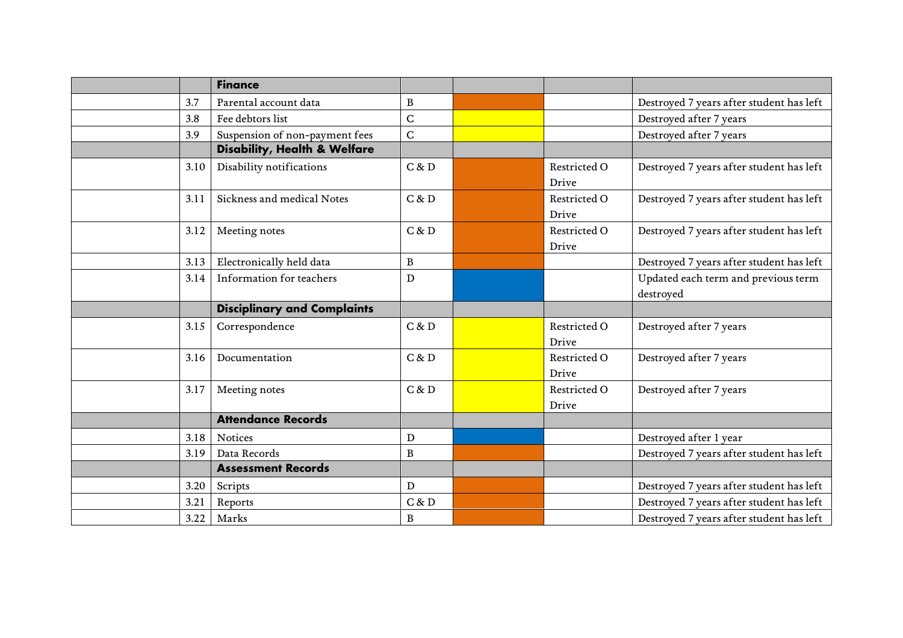|     |      | <b>Finance</b>                          |                |                       |                                                  |
|-----|------|-----------------------------------------|----------------|-----------------------|--------------------------------------------------|
| 3.7 |      | Parental account data                   | $\bf{B}$       |                       | Destroyed 7 years after student has left         |
| 3.8 |      | Fee debtors list                        | $\overline{C}$ |                       | Destroyed after 7 years                          |
|     | 3.9  | Suspension of non-payment fees          | $\mathsf C$    |                       | Destroyed after 7 years                          |
|     |      | <b>Disability, Health &amp; Welfare</b> |                |                       |                                                  |
|     | 3.10 | Disability notifications                | C & D          | Restricted O<br>Drive | Destroyed 7 years after student has left         |
|     | 3.11 | Sickness and medical Notes              | C & D          | Restricted O<br>Drive | Destroyed 7 years after student has left         |
|     | 3.12 | Meeting notes                           | C & D          | Restricted O<br>Drive | Destroyed 7 years after student has left         |
|     | 3.13 | Electronically held data                | $\bf{B}$       |                       | Destroyed 7 years after student has left         |
|     | 3.14 | Information for teachers                | ${\bf D}$      |                       | Updated each term and previous term<br>destroyed |
|     |      | <b>Disciplinary and Complaints</b>      |                |                       |                                                  |
|     | 3.15 | Correspondence                          | C & D          | Restricted O<br>Drive | Destroyed after 7 years                          |
|     | 3.16 | Documentation                           | C & D          | Restricted O<br>Drive | Destroyed after 7 years                          |
|     | 3.17 | Meeting notes                           | C & D          | Restricted O<br>Drive | Destroyed after 7 years                          |
|     |      | <b>Attendance Records</b>               |                |                       |                                                  |
|     | 3.18 | <b>Notices</b>                          | ${\bf D}$      |                       | Destroyed after 1 year                           |
|     | 3.19 | Data Records                            | B              |                       | Destroyed 7 years after student has left         |
|     |      | <b>Assessment Records</b>               |                |                       |                                                  |
|     | 3.20 | Scripts                                 | $\mathbf D$    |                       | Destroyed 7 years after student has left         |
|     | 3.21 | Reports                                 | C & D          |                       | Destroyed 7 years after student has left         |
|     | 3.22 | Marks                                   | $\, {\bf B}$   |                       | Destroyed 7 years after student has left         |